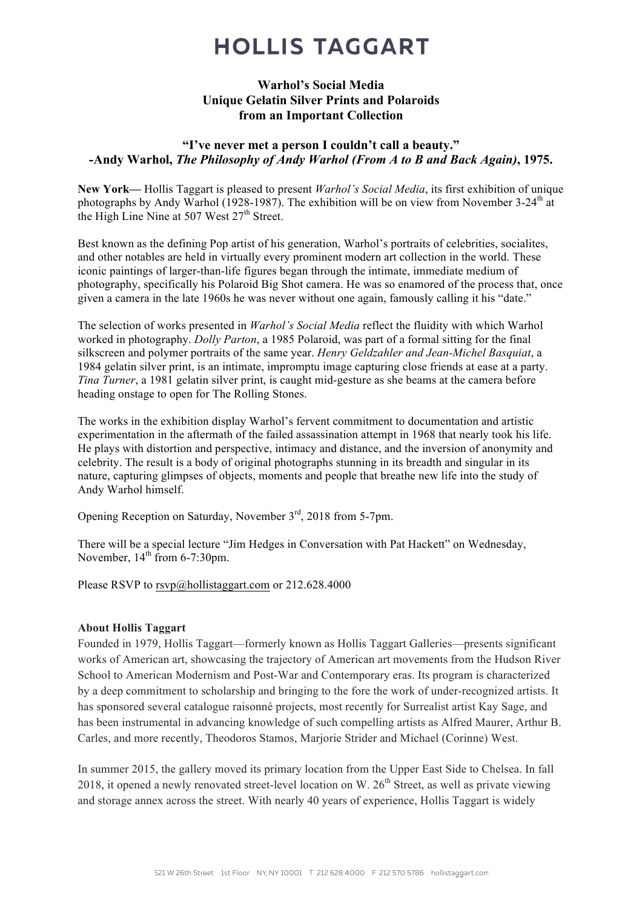## **HOLLIS TAGGART**

#### Warhol's Social Media Unique Gelatin Silver Prints and Polaroids from an Important Collection

### "I've never met a person I couldn't call a beauty." -Andy Warhol, *The Philosophy of Andy Warhol (From A to B and Back Again)*, 1975.

New York— Hollis Taggart is pleased to present *Warhol's Social Media*, its first exhibition of unique photographs by Andy Warhol (1928-1987). The exhibition will be on view from November 3-24<sup>th</sup> at the High Line Nine at 507 West  $27<sup>th</sup>$  Street.

Best known as the defining Pop artist of his generation, Warhol's portraits of celebrities, socialites, and other notables are held in virtually every prominent modern art collection in the world. These iconic paintings of larger-than-life figures began through the intimate, immediate medium of photography, specifically his Polaroid Big Shot camera. He was so enamored of the process that, once given a camera in the late 1960s he was never without one again, famously calling it his "date."

The selection of works presented in *Warhol's Social Media* reflect the fluidity with which Warhol worked in photography. *Dolly Parton*, a 1985 Polaroid, was part of a formal sitting for the final silkscreen and polymer portraits of the same year. *Henry Geldzahler and Jean-Michel Basquiat*, a 1984 gelatin silver print, is an intimate, impromptu image capturing close friends at ease at a party. *Tina Turner*, a 1981 gelatin silver print, is caught mid-gesture as she beams at the camera before heading onstage to open for The Rolling Stones.

The works in the exhibition display Warhol's fervent commitment to documentation and artistic experimentation in the aftermath of the failed assassination attempt in 1968 that nearly took his life. He plays with distortion and perspective, intimacy and distance, and the inversion of anonymity and celebrity. The result is a body of original photographs stunning in its breadth and singular in its nature, capturing glimpses of objects, moments and people that breathe new life into the study of Andy Warhol himself.

Opening Reception on Saturday, November 3<sup>rd</sup>, 2018 from 5-7pm.

There will be a special lecture "Jim Hedges in Conversation with Pat Hackett" on Wednesday, November,  $14<sup>th</sup>$  from 6-7:30pm.

Please RSVP to rsvp@hollistaggart.com or 212.628.4000

#### About Hollis Taggart

Founded in 1979, Hollis Taggart—formerly known as Hollis Taggart Galleries—presents significant works of American art, showcasing the trajectory of American art movements from the Hudson River School to American Modernism and Post-War and Contemporary eras. Its program is characterized by a deep commitment to scholarship and bringing to the fore the work of under-recognized artists. It has sponsored several catalogue raisonné projects, most recently for Surrealist artist Kay Sage, and has been instrumental in advancing knowledge of such compelling artists as Alfred Maurer, Arthur B. Carles, and more recently, Theodoros Stamos, Marjorie Strider and Michael (Corinne) West.

In summer 2015, the gallery moved its primary location from the Upper East Side to Chelsea. In fall 2018, it opened a newly renovated street-level location on W.  $26<sup>th</sup>$  Street, as well as private viewing and storage annex across the street. With nearly 40 years of experience, Hollis Taggart is widely